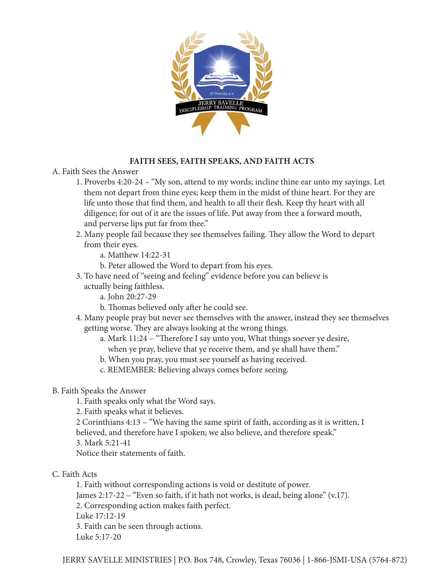

## **FAITH SEES, FAITH SPEAKS, AND FAITH ACTS**

- A. Faith Sees the Answer
	- 1. Proverbs 4:20-24 "My son, attend to my words; incline thine ear unto my sayings. Let them not depart from thine eyes; keep them in the midst of thine heart. For they are life unto those that find them, and health to all their flesh. Keep thy heart with all diligence; for out of it are the issues of life. Put away from thee a forward mouth, and perverse lips put far from thee."
	- 2. Many people fail because they see themselves failing. They allow the Word to depart from their eyes.
		- a. Matthew 14:22-31
		- b. Peter allowed the Word to depart from his eyes.
	- 3. To have need of "seeing and feeling" evidence before you can believe is actually being faithless.
		- a. John 20:27-29
		- b. Thomas believed only after he could see.
	- 4. Many people pray but never see themselves with the answer, instead they see themselves getting worse. They are always looking at the wrong things.
		- a. Mark 11:24 "Therefore I say unto you, What things soever ye desire, when ye pray, believe that ye receive them, and ye shall have them."
		- b. When you pray, you must see yourself as having received.
		- c. REMEMBER: Believing always comes before seeing.

#### B. Faith Speaks the Answer

- 1. Faith speaks only what the Word says.
- 2. Faith speaks what it believes.
- 2 Corinthians 4:13 "We having the same spirit of faith, according as it is written, I
- believed, and therefore have I spoken; we also believe, and therefore speak."
- 3. Mark 5:21-41
- Notice their statements of faith.
- C. Faith Acts

1. Faith without corresponding actions is void or destitute of power. James 2:17-22 – "Even so faith, if it hath not works, is dead, being alone" (v.17). 2. Corresponding action makes faith perfect. Luke 17:12-19 3. Faith can be seen through actions. Luke 5:17-20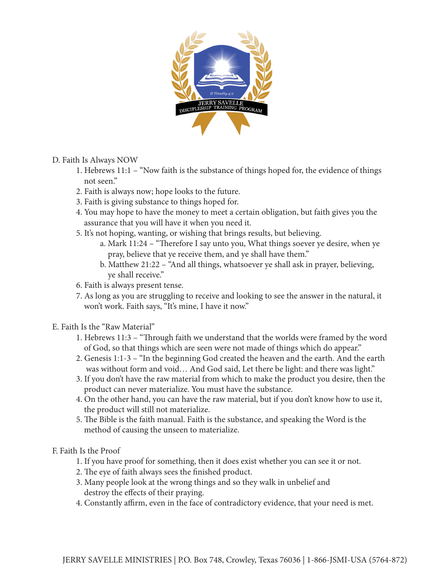

## D. Faith Is Always NOW

- 1. Hebrews 11:1 "Now faith is the substance of things hoped for, the evidence of things not seen."
- 2. Faith is always now; hope looks to the future.
- 3. Faith is giving substance to things hoped for.
- 4. You may hope to have the money to meet a certain obligation, but faith gives you the assurance that you will have it when you need it.
- 5. It's not hoping, wanting, or wishing that brings results, but believing.
	- a. Mark 11:24 "Therefore I say unto you, What things soever ye desire, when ye pray, believe that ye receive them, and ye shall have them."
	- b. Matthew 21:22 "And all things, whatsoever ye shall ask in prayer, believing, ye shall receive."
- 6. Faith is always present tense.
- 7. As long as you are struggling to receive and looking to see the answer in the natural, it won't work. Faith says, "It's mine, I have it now."
- E. Faith Is the "Raw Material"
	- 1. Hebrews 11:3 "Through faith we understand that the worlds were framed by the word of God, so that things which are seen were not made of things which do appear."
	- 2. Genesis 1:1-3 "In the beginning God created the heaven and the earth. And the earth was without form and void… And God said, Let there be light: and there was light."
	- 3. If you don't have the raw material from which to make the product you desire, then the product can never materialize. You must have the substance.
	- 4. On the other hand, you can have the raw material, but if you don't know how to use it, the product will still not materialize.
	- 5. The Bible is the faith manual. Faith is the substance, and speaking the Word is the method of causing the unseen to materialize.

F. Faith Is the Proof

- 1. If you have proof for something, then it does exist whether you can see it or not.
- 2. The eye of faith always sees the finished product.
- 3. Many people look at the wrong things and so they walk in unbelief and destroy the effects of their praying.
- 4. Constantly affirm, even in the face of contradictory evidence, that your need is met.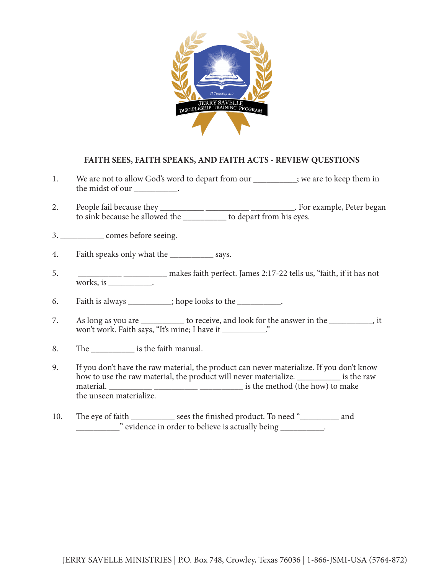

#### **FAITH SEES, FAITH SPEAKS, AND FAITH ACTS - REVIEW QUESTIONS**

- 1. We are not to allow God's word to depart from our \_\_\_\_\_\_\_\_\_; we are to keep them in the midst of our \_\_\_\_\_\_\_\_\_\_.
- 2. People fail because they \_\_\_\_\_\_\_\_\_\_\_\_\_\_\_\_\_\_\_\_\_\_\_\_\_\_\_\_\_\_\_\_\_\_\_. For example, Peter began to sink because he allowed the \_\_\_\_\_\_\_\_\_\_\_\_\_ to depart from his eyes.

3. \_\_\_\_\_\_\_\_\_\_ comes before seeing.

- 4. Faith speaks only what the \_\_\_\_\_\_\_\_\_\_\_\_ says.
- 5. \_\_\_\_\_\_\_\_\_\_ \_\_\_\_\_\_\_\_\_\_ makes faith perfect. James 2:17-22 tells us, "faith, if it has not works, is \_\_\_\_\_\_\_\_\_\_.

6. Faith is always \_\_\_\_\_\_\_\_\_; hope looks to the \_\_\_\_\_\_\_\_\_.

- 7. As long as you are \_\_\_\_\_\_\_\_\_\_ to receive, and look for the answer in the \_\_\_\_\_\_\_\_\_\_, it won't work. Faith says, "It's mine; I have it \_\_\_\_\_\_\_\_\_\_\_."
- 8. The settled is the faith manual.
- 9. If you don't have the raw material, the product can never materialize. If you don't know how to use the raw material, the product will never materialize. \_\_\_\_\_\_\_\_\_\_ is the raw material. \_\_\_\_\_\_\_\_\_\_ \_\_\_\_\_\_\_\_\_\_ \_\_\_\_\_\_\_\_\_\_ is the method (the how) to make the unseen materialize.
- 10. The eye of faith \_\_\_\_\_\_\_\_\_\_\_ sees the finished product. To need "\_\_\_\_\_\_\_\_\_ and \_\_\_\_\_\_\_\_\_\_" evidence in order to believe is actually being \_\_\_\_\_\_\_\_\_\_.